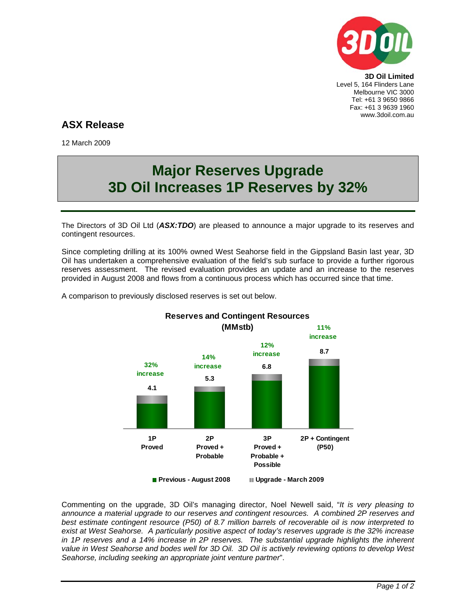

**3D Oil Limited**  Level 5, 164 Flinders Lane Melbourne VIC 3000 Tel: +61 3 9650 9866 Fax: +61 3 9639 1960 www.3doil.com.au

## **ASX Release**

12 March 2009

# **Major Reserves Upgrade 3D Oil Increases 1P Reserves by 32%**

The Directors of 3D Oil Ltd (*ASX:TDO*) are pleased to announce a major upgrade to its reserves and contingent resources.

Since completing drilling at its 100% owned West Seahorse field in the Gippsland Basin last year, 3D Oil has undertaken a comprehensive evaluation of the field's sub surface to provide a further rigorous reserves assessment. The revised evaluation provides an update and an increase to the reserves provided in August 2008 and flows from a continuous process which has occurred since that time.



A comparison to previously disclosed reserves is set out below.

Commenting on the upgrade, 3D Oil's managing director, Noel Newell said, "*It is very pleasing to announce a material upgrade to our reserves and contingent resources. A combined 2P reserves and best estimate contingent resource (P50) of 8.7 million barrels of recoverable oil is now interpreted to exist at West Seahorse. A particularly positive aspect of today's reserves upgrade is the 32% increase in 1P reserves and a 14% increase in 2P reserves. The substantial upgrade highlights the inherent value in West Seahorse and bodes well for 3D Oil. 3D Oil is actively reviewing options to develop West Seahorse, including seeking an appropriate joint venture partner*".